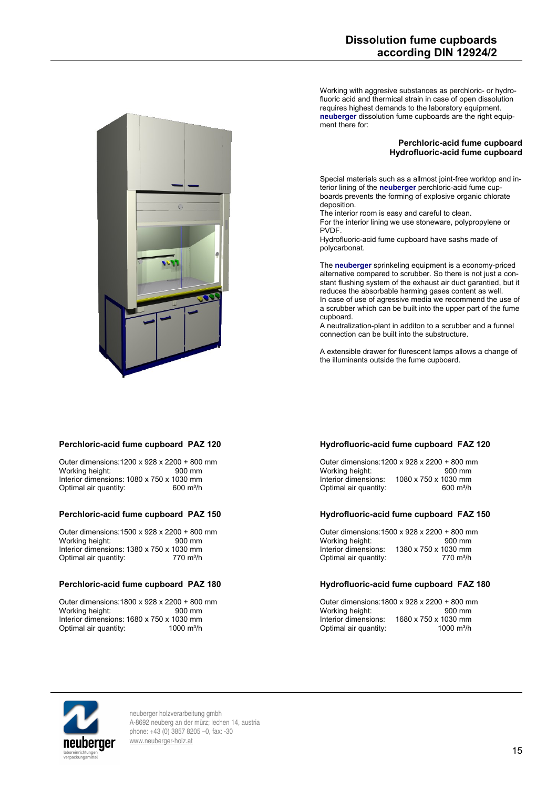Working with aggresive substances as perchloric- or hydrofluoric acid and thermical strain in case of open dissolution requires highest demands to the laboratory equipment. **neuberger** dissolution fume cupboards are the right equipment there for:

# **Perchloric-acid fume cupboard Hydrofluoric-acid fume cupboard**

Special materials such as a allmost joint-free worktop and interior lining of the **neuberger** perchloric-acid fume cupboards prevents the forming of explosive organic chlorate deposition.

The interior room is easy and careful to clean.

For the interior lining we use stoneware, polypropylene or **PVDF** 

Hydrofluoric-acid fume cupboard have sashs made of polycarbonat.

The **neuberger** sprinkeling equipment is a economy-priced alternative compared to scrubber. So there is not just a constant flushing system of the exhaust air duct garantied, but it reduces the absorbable harming gases content as well. In case of use of agressive media we recommend the use of a scrubber which can be built into the upper part of the fume cupboard.

A neutralization-plant in additon to a scrubber and a funnel connection can be built into the substructure.

A extensible drawer for flurescent lamps allows a change of the illuminants outside the fume cupboard.

**Perchloric-acid fume cupboard PAZ 120**

Outer dimensions:1200 x 928 x 2200 + 800 mm Working height: 900 mm Interior dimensions: 1080 x 750 x 1030 mm<br>Optimal air quantity: 600 m<sup>3</sup>/h Optimal air quantity:

### **Perchloric-acid fume cupboard PAZ 150**

Outer dimensions:1500 x 928 x 2200 + 800 mm Working height: Interior dimensions: 1380 x 750 x 1030 mm<br>Optimal air quantity: 770 m<sup>3</sup>/h Optimal air quantity:

### **Perchloric-acid fume cupboard PAZ 180**

Outer dimensions:1800 x 928 x 2200 + 800 mm Working height: Interior dimensions: 1680 x 750 x 1030 mm Optimal air quantity: 1000 m<sup>3</sup>/h

## **Hydrofluoric-acid fume cupboard FAZ 120**

Outer dimensions:1200 x 928 x 2200 + 800 mm Working height:<br>Interior dimensions: 1080 x 750 x 1030 mm  $1080 \times 750 \times 1030$  mm<br> $600$  m<sup>3</sup>/h Optimal air quantity:

#### **Hydrofluoric-acid fume cupboard FAZ 150**

Outer dimensions:1500 x 928 x 2200 + 800 mm Working height:<br>Interior dimensions: 1380 x 750 x 1030 mm<br>770 m<sup>3</sup>/h Optimal air quantity:

#### **Hydrofluoric-acid fume cupboard FAZ 180**

Outer dimensions:1800 x 928 x 2200 + 800 mm Working height:<br>Interior dimensions: 1680 x 750 x 1030 mm Optimal air quantity: 1000 m<sup>3</sup>/h



neuberger holzverarbeitung gmbh A-8692 neuberg an der mürz; lechen 14, austria phone: +43 (0) 3857 8205 –0, fax: -30 [www.neuberger-holz.at](http://www.neuberger-holz.at/)